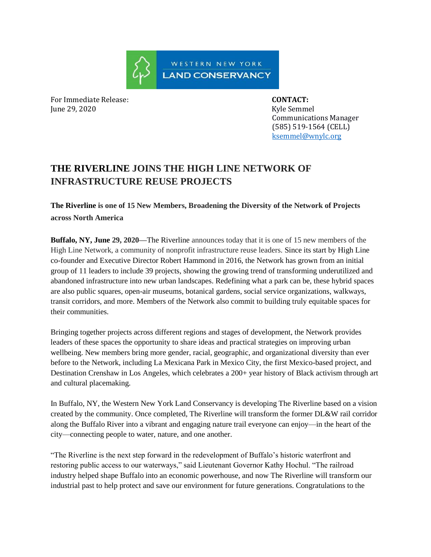WESTERN NEW YORK **LAND CONSERVANCY** 

For Immediate Release: **CONTACT:**  June 29, 2020 Kyle Semmel

 Communications Manager (585) 519-1564 (CELL) ksemmel@wnylc.org

# **THE RIVERLINE JOINS THE HIGH LINE NETWORK OF INFRASTRUCTURE REUSE PROJECTS**

**The Riverline is one of 15 New Members, Broadening the Diversity of the Network of Projects across North America**

**Buffalo, NY, June 29, 2020—**The Riverline announces today that it is one of 15 new members of the High Line Network, a community of nonprofit infrastructure reuse leaders. Since its start by High Line co-founder and Executive Director Robert Hammond in 2016, the Network has grown from an initial group of 11 leaders to include 39 projects, showing the growing trend of transforming underutilized and abandoned infrastructure into new urban landscapes. Redefining what a park can be, these hybrid spaces are also public squares, open-air museums, botanical gardens, social service organizations, walkways, transit corridors, and more. Members of the Network also commit to building truly equitable spaces for their communities.

Bringing together projects across different regions and stages of development, the Network provides leaders of these spaces the opportunity to share ideas and practical strategies on improving urban wellbeing. New members bring more gender, racial, geographic, and organizational diversity than ever before to the Network, including La Mexicana Park in Mexico City, the first Mexico-based project, and Destination Crenshaw in Los Angeles, which celebrates a 200+ year history of Black activism through art and cultural placemaking.

In Buffalo, NY, the Western New York Land Conservancy is developing The Riverline based on a vision created by the community. Once completed, The Riverline will transform the former DL&W rail corridor along the Buffalo River into a vibrant and engaging nature trail everyone can enjoy—in the heart of the city—connecting people to water, nature, and one another.

"The Riverline is the next step forward in the redevelopment of Buffalo's historic waterfront and restoring public access to our waterways," said Lieutenant Governor Kathy Hochul. "The railroad industry helped shape Buffalo into an economic powerhouse, and now The Riverline will transform our industrial past to help protect and save our environment for future generations. Congratulations to the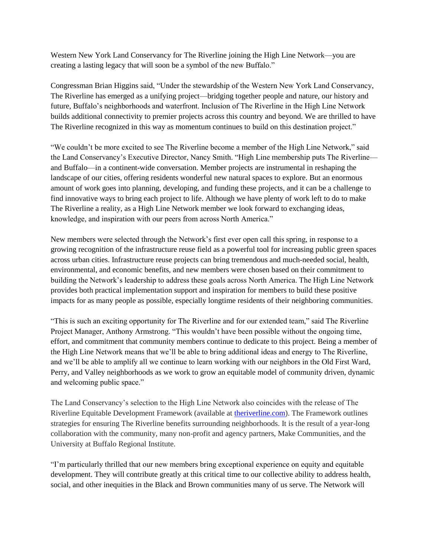Western New York Land Conservancy for The Riverline joining the High Line Network—you are creating a lasting legacy that will soon be a symbol of the new Buffalo."

Congressman Brian Higgins said, "Under the stewardship of the Western New York Land Conservancy, The Riverline has emerged as a unifying project—bridging together people and nature, our history and future, Buffalo's neighborhoods and waterfront. Inclusion of The Riverline in the High Line Network builds additional connectivity to premier projects across this country and beyond. We are thrilled to have The Riverline recognized in this way as momentum continues to build on this destination project."

"We couldn't be more excited to see The Riverline become a member of the High Line Network," said the Land Conservancy's Executive Director, Nancy Smith. "High Line membership puts The Riverline and Buffalo—in a continent-wide conversation. Member projects are instrumental in reshaping the landscape of our cities, offering residents wonderful new natural spaces to explore. But an enormous amount of work goes into planning, developing, and funding these projects, and it can be a challenge to find innovative ways to bring each project to life. Although we have plenty of work left to do to make The Riverline a reality, as a High Line Network member we look forward to exchanging ideas, knowledge, and inspiration with our peers from across North America."

New members were selected through the Network's first ever open call this spring, in response to a growing recognition of the infrastructure reuse field as a powerful tool for increasing public green spaces across urban cities. Infrastructure reuse projects can bring tremendous and much-needed social, health, environmental, and economic benefits, and new members were chosen based on their commitment to building the Network's leadership to address these goals across North America. The High Line Network provides both practical implementation support and inspiration for members to build these positive impacts for as many people as possible, especially longtime residents of their neighboring communities.

"This is such an exciting opportunity for The Riverline and for our extended team," said The Riverline Project Manager, Anthony Armstrong. "This wouldn't have been possible without the ongoing time, effort, and commitment that community members continue to dedicate to this project. Being a member of the High Line Network means that we'll be able to bring additional ideas and energy to The Riverline, and we'll be able to amplify all we continue to learn working with our neighbors in the Old First Ward, Perry, and Valley neighborhoods as we work to grow an equitable model of community driven, dynamic and welcoming public space."

The Land Conservancy's selection to the High Line Network also coincides with the release of The Riverline Equitable Development Framework (available at [theriverline.com\)](theriverline.com). The Framework outlines strategies for ensuring The Riverline benefits surrounding neighborhoods. It is the result of a year-long collaboration with the community, many non-profit and agency partners, Make Communities, and the University at Buffalo Regional Institute.

"I'm particularly thrilled that our new members bring exceptional experience on equity and equitable development. They will contribute greatly at this critical time to our collective ability to address health, social, and other inequities in the Black and Brown communities many of us serve. The Network will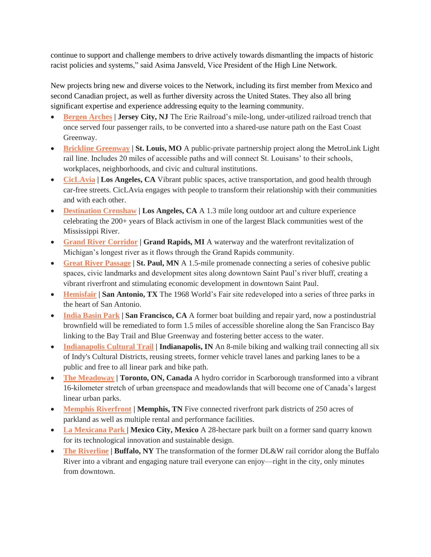continue to support and challenge members to drive actively towards dismantling the impacts of historic racist policies and systems," said Asima Jansveld, Vice President of the High Line Network.

New projects bring new and diverse voices to the Network, including its first member from Mexico and second Canadian project, as well as further diversity across the United States. They also all bring significant expertise and experience addressing equity to the learning community.

- **[Bergen Arches](https://www.bergenarches.com/) | Jersey City, NJ** The Erie Railroad's mile-long, under-utilized railroad trench that once served four passenger rails, to be converted into a shared-use nature path on the East Coast Greenway.
- **[Brickline Greenway](https://greatriversgreenway.org/MakingOf) | St. Louis, MO** A public-private partnership project along the MetroLink Light rail line. Includes 20 miles of accessible paths and will connect St. Louisans' to their schools, workplaces, neighborhoods, and civic and cultural institutions.
- **[CicLAvia](http://www.ciclavia.org/)** | Los Angeles, CA Vibrant public spaces, active transportation, and good health through car-free streets. CicLAvia engages with people to transform their relationship with their communities and with each other.
- **[Destination Crenshaw](http://destinationcrenshaw.la/) | Los Angeles, CA** A 1.3 mile long outdoor art and culture experience celebrating the 200+ years of Black activism in one of the largest Black communities west of the Mississippi River.
- **[Grand River Corridor](http://riverforall.com/) | Grand Rapids, MI** A waterway and the waterfront revitalization of Michigan's longest river as it flows through the Grand Rapids community.
- **[Great River Passage](http://greatriverpassage.org/) | St. Paul, MN** A 1.5-mile promenade connecting a series of cohesive public spaces, civic landmarks and development sites along downtown Saint Paul's river bluff, creating a vibrant riverfront and stimulating economic development in downtown Saint Paul.
- **[Hemisfair](http://hemisfair.org/) | San Antonio, TX** The 1968 World's Fair site redeveloped into a series of three parks in the heart of San Antonio.
- **[India Basin Park](http://www.ibwaterfrontparks.com/) | San Francisco, CA** A former boat building and repair yard, now a postindustrial brownfield will be remediated to form 1.5 miles of accessible shoreline along the San Francisco Bay linking to the Bay Trail and Blue Greenway and fostering better access to the water.
- **[Indianapolis Cultural Trail](http://www.indyculturaltrail.org/) | Indianapolis, IN** An 8-mile biking and walking trail connecting all six of Indy's Cultural Districts, reusing streets, former vehicle travel lanes and parking lanes to be a public and free to all linear park and bike path.
- **[The Meadoway](https://themeadoway.ca/) | Toronto, ON, Canada** A hydro corridor in Scarborough transformed into a vibrant 16-kilometer stretch of urban greenspace and meadowlands that will become one of Canada's largest linear urban parks.
- **[Memphis Riverfront](http://memphisriverparks.org/) | Memphis, TN** Five connected riverfront park districts of 250 acres of parkland as well as multiple rental and performance facilities.
- **[La Mexicana Park |](https://parquelamexicana.mx/) Mexico City, Mexico** A 28-hectare park built on a former sand quarry known for its technological innovation and sustainable design.
- **[The Riverline](http://theriverline.com/) | Buffalo, NY** The transformation of the former DL&W rail corridor along the Buffalo River into a vibrant and engaging nature trail everyone can enjoy—right in the city, only minutes from downtown.